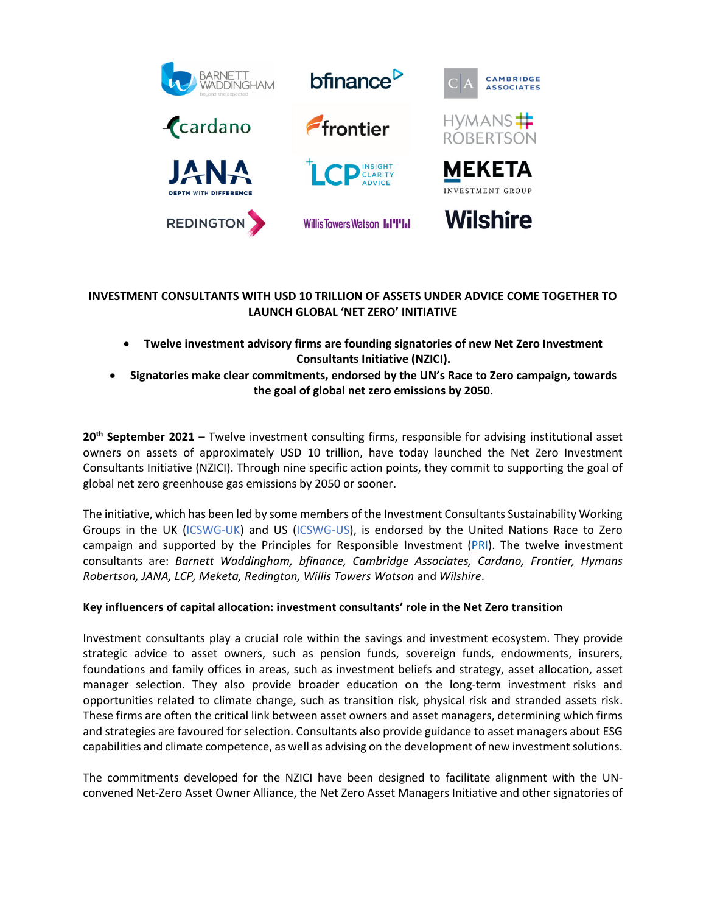

# **INVESTMENT CONSULTANTS WITH USD 10 TRILLION OF ASSETS UNDER ADVICE COME TOGETHER TO LAUNCH GLOBAL 'NET ZERO' INITIATIVE**

- **Twelve investment advisory firms are founding signatories of new Net Zero Investment Consultants Initiative (NZICI).**
- **Signatories make clear commitments, endorsed by the UN's Race to Zero campaign, towards the goal of global net zero emissions by 2050.**

**20th September 2021** – Twelve investment consulting firms, responsible for advising institutional asset owners on assets of approximately USD 10 trillion, have today launched the Net Zero Investment Consultants Initiative (NZICI). Through nine specific action points, they commit to supporting the goal of global net zero greenhouse gas emissions by 2050 or sooner.

The initiative, which has been led by some members of the Investment Consultants Sustainability Working Groups in the UK (ICSWG-UK) and US (ICSWG-US), is endorsed by the United Nations Race to Zero campaign and supported by the Principles for Responsible Investment  $(PRI)$ . The twelve investment consultants are: *Barnett Waddingham, bfinance, Cambridge Associates, Cardano, Frontier, Hymans Robertson, JANA, LCP, Meketa, Redington, Willis Towers Watson* and *Wilshire*.

## **Key influencers of capital allocation: investment consultants' role in the Net Zero transition**

Investment consultants play a crucial role within the savings and investment ecosystem. They provide strategic advice to asset owners, such as pension funds, sovereign funds, endowments, insurers, foundations and family offices in areas, such as investment beliefs and strategy, asset allocation, asset manager selection. They also provide broader education on the long-term investment risks and opportunities related to climate change, such as transition risk, physical risk and stranded assets risk. These firms are often the critical link between asset owners and asset managers, determining which firms and strategies are favoured for selection. Consultants also provide guidance to asset managers about ESG capabilities and climate competence, as well as advising on the development of new investment solutions.

The commitments developed for the NZICI have been designed to facilitate alignment with the UNconvened Net-Zero Asset Owner Alliance, the Net Zero Asset Managers Initiative and other signatories of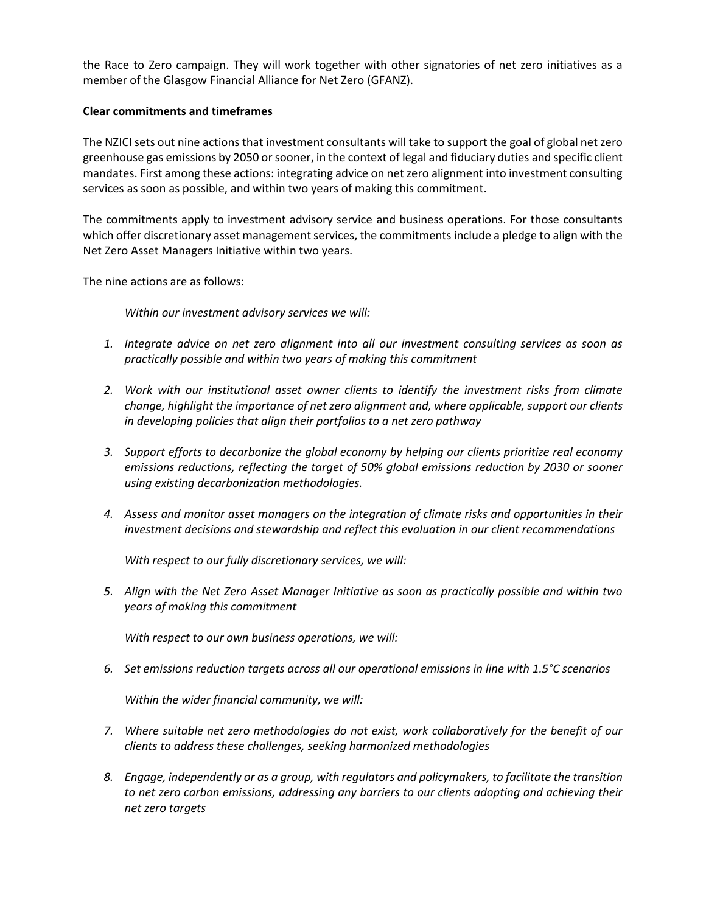the Race to Zero campaign. They will work together with other signatories of net zero initiatives as a member of the Glasgow Financial Alliance for Net Zero (GFANZ).

### **Clear commitments and timeframes**

The NZICI sets out nine actions that investment consultants will take to support the goal of global net zero greenhouse gas emissions by 2050 or sooner, in the context of legal and fiduciary duties and specific client mandates. First among these actions: integrating advice on net zero alignment into investment consulting services as soon as possible, and within two years of making this commitment.

The commitments apply to investment advisory service and business operations. For those consultants which offer discretionary asset management services, the commitments include a pledge to align with the Net Zero Asset Managers Initiative within two years.

The nine actions are as follows:

*Within our investment advisory services we will:*

- *1. Integrate advice on net zero alignment into all our investment consulting services as soon as practically possible and within two years of making this commitment*
- *2. Work with our institutional asset owner clients to identify the investment risks from climate change, highlight the importance of net zero alignment and, where applicable, support our clients in developing policies that align their portfolios to a net zero pathway*
- *3. Support efforts to decarbonize the global economy by helping our clients prioritize real economy emissions reductions, reflecting the target of 50% global emissions reduction by 2030 or sooner using existing decarbonization methodologies.*
- *4. Assess and monitor asset managers on the integration of climate risks and opportunities in their investment decisions and stewardship and reflect this evaluation in our client recommendations*

*With respect to our fully discretionary services, we will:* 

*5. Align with the Net Zero Asset Manager Initiative as soon as practically possible and within two years of making this commitment*

*With respect to our own business operations, we will:*

*6. Set emissions reduction targets across all our operational emissions in line with 1.5°C scenarios*

*Within the wider financial community, we will:*

- *7. Where suitable net zero methodologies do not exist, work collaboratively for the benefit of our clients to address these challenges, seeking harmonized methodologies*
- *8. Engage, independently or as a group, with regulators and policymakers, to facilitate the transition to net zero carbon emissions, addressing any barriers to our clients adopting and achieving their net zero targets*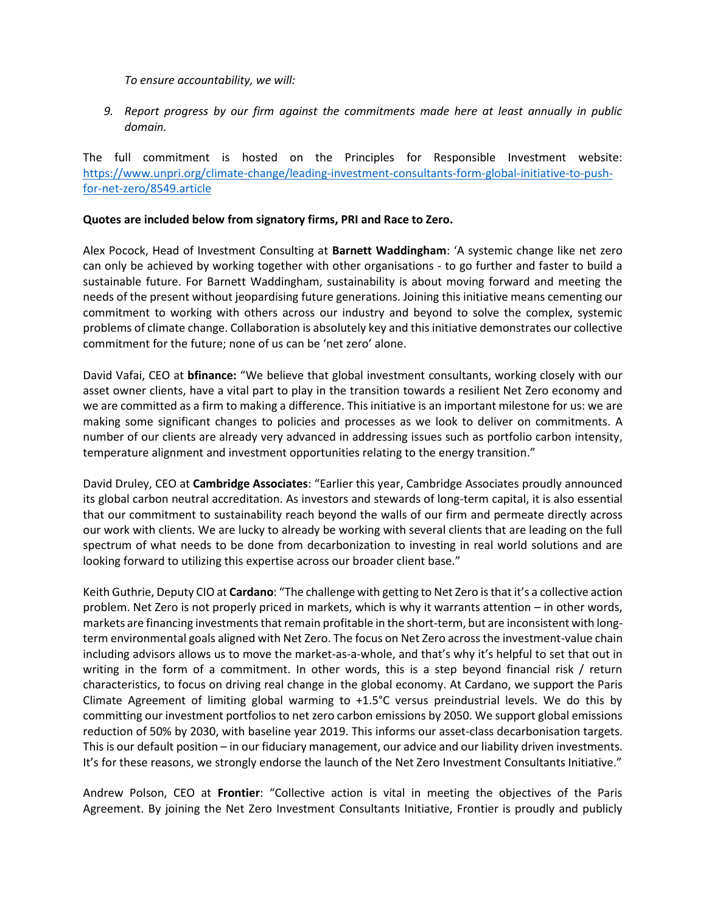*To ensure accountability, we will:*

*9. Report progress by our firm against the commitments made here at least annually in public domain.* 

The full commitment is hosted on the Principles for Responsible Investment website: https://www.unpri.org/climate-change/leading-investment-consultants-form-global-initiative-to-pushfor-net-zero/8549.article

#### **Quotes are included below from signatory firms, PRI and Race to Zero.**

Alex Pocock, Head of Investment Consulting at **Barnett Waddingham**: 'A systemic change like net zero can only be achieved by working together with other organisations - to go further and faster to build a sustainable future. For Barnett Waddingham, sustainability is about moving forward and meeting the needs of the present without jeopardising future generations. Joining this initiative means cementing our commitment to working with others across our industry and beyond to solve the complex, systemic problems of climate change. Collaboration is absolutely key and this initiative demonstrates our collective commitment for the future; none of us can be 'net zero' alone.

David Vafai, CEO at **bfinance:** "We believe that global investment consultants, working closely with our asset owner clients, have a vital part to play in the transition towards a resilient Net Zero economy and we are committed as a firm to making a difference. This initiative is an important milestone for us: we are making some significant changes to policies and processes as we look to deliver on commitments. A number of our clients are already very advanced in addressing issues such as portfolio carbon intensity, temperature alignment and investment opportunities relating to the energy transition."

David Druley, CEO at **Cambridge Associates**: "Earlier this year, Cambridge Associates proudly announced its global carbon neutral accreditation. As investors and stewards of long-term capital, it is also essential that our commitment to sustainability reach beyond the walls of our firm and permeate directly across our work with clients. We are lucky to already be working with several clients that are leading on the full spectrum of what needs to be done from decarbonization to investing in real world solutions and are looking forward to utilizing this expertise across our broader client base."

Keith Guthrie, Deputy CIO at **Cardano**: "The challenge with getting to Net Zero is that it's a collective action problem. Net Zero is not properly priced in markets, which is why it warrants attention – in other words, markets are financing investments that remain profitable in the short-term, but are inconsistent with longterm environmental goals aligned with Net Zero. The focus on Net Zero across the investment-value chain including advisors allows us to move the market-as-a-whole, and that's why it's helpful to set that out in writing in the form of a commitment. In other words, this is a step beyond financial risk / return characteristics, to focus on driving real change in the global economy. At Cardano, we support the Paris Climate Agreement of limiting global warming to +1.5°C versus preindustrial levels. We do this by committing our investment portfolios to net zero carbon emissions by 2050. We support global emissions reduction of 50% by 2030, with baseline year 2019. This informs our asset-class decarbonisation targets. This is our default position – in our fiduciary management, our advice and our liability driven investments. It's for these reasons, we strongly endorse the launch of the Net Zero Investment Consultants Initiative."

Andrew Polson, CEO at **Frontier**: "Collective action is vital in meeting the objectives of the Paris Agreement. By joining the Net Zero Investment Consultants Initiative, Frontier is proudly and publicly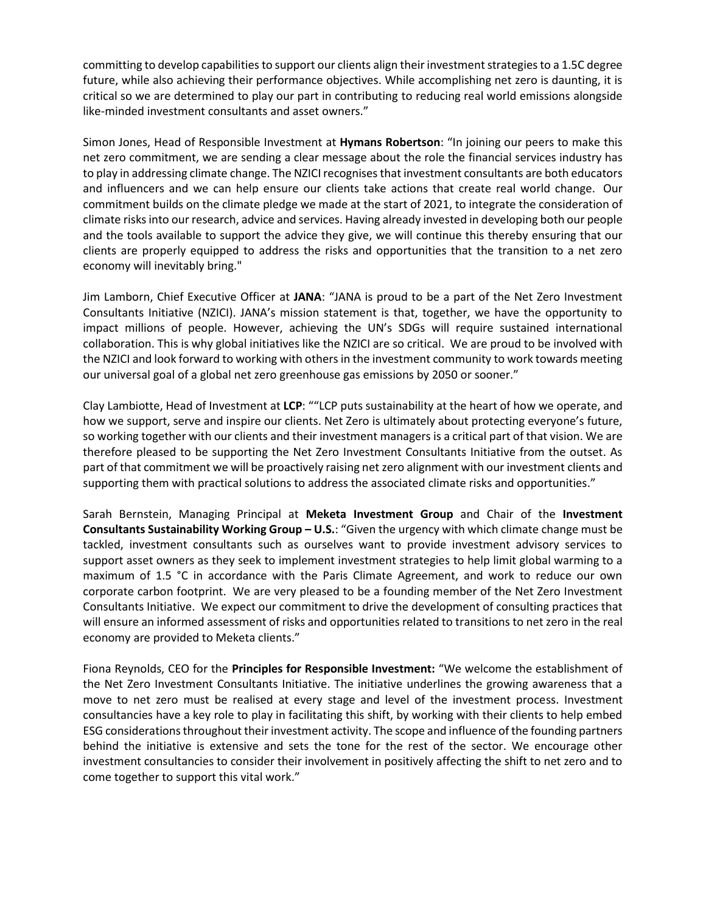committing to develop capabilities to support our clients align their investment strategies to a 1.5C degree future, while also achieving their performance objectives. While accomplishing net zero is daunting, it is critical so we are determined to play our part in contributing to reducing real world emissions alongside like-minded investment consultants and asset owners."

Simon Jones, Head of Responsible Investment at **Hymans Robertson**: "In joining our peers to make this net zero commitment, we are sending a clear message about the role the financial services industry has to play in addressing climate change. The NZICI recognises that investment consultants are both educators and influencers and we can help ensure our clients take actions that create real world change. Our commitment builds on the climate pledge we made at the start of 2021, to integrate the consideration of climate risks into our research, advice and services. Having already invested in developing both our people and the tools available to support the advice they give, we will continue this thereby ensuring that our clients are properly equipped to address the risks and opportunities that the transition to a net zero economy will inevitably bring."

Jim Lamborn, Chief Executive Officer at **JANA**: "JANA is proud to be a part of the Net Zero Investment Consultants Initiative (NZICI). JANA's mission statement is that, together, we have the opportunity to impact millions of people. However, achieving the UN's SDGs will require sustained international collaboration. This is why global initiatives like the NZICI are so critical. We are proud to be involved with the NZICI and look forward to working with others in the investment community to work towards meeting our universal goal of a global net zero greenhouse gas emissions by 2050 or sooner."

Clay Lambiotte, Head of Investment at **LCP**: ""LCP puts sustainability at the heart of how we operate, and how we support, serve and inspire our clients. Net Zero is ultimately about protecting everyone's future, so working together with our clients and their investment managers is a critical part of that vision. We are therefore pleased to be supporting the Net Zero Investment Consultants Initiative from the outset. As part of that commitment we will be proactively raising net zero alignment with our investment clients and supporting them with practical solutions to address the associated climate risks and opportunities."

Sarah Bernstein, Managing Principal at **Meketa Investment Group** and Chair of the **Investment Consultants Sustainability Working Group – U.S.**: "Given the urgency with which climate change must be tackled, investment consultants such as ourselves want to provide investment advisory services to support asset owners as they seek to implement investment strategies to help limit global warming to a maximum of 1.5 °C in accordance with the Paris Climate Agreement, and work to reduce our own corporate carbon footprint. We are very pleased to be a founding member of the Net Zero Investment Consultants Initiative. We expect our commitment to drive the development of consulting practices that will ensure an informed assessment of risks and opportunities related to transitions to net zero in the real economy are provided to Meketa clients."

Fiona Reynolds, CEO for the **Principles for Responsible Investment:** "We welcome the establishment of the Net Zero Investment Consultants Initiative. The initiative underlines the growing awareness that a move to net zero must be realised at every stage and level of the investment process. Investment consultancies have a key role to play in facilitating this shift, by working with their clients to help embed ESG considerations throughout their investment activity. The scope and influence of the founding partners behind the initiative is extensive and sets the tone for the rest of the sector. We encourage other investment consultancies to consider their involvement in positively affecting the shift to net zero and to come together to support this vital work."